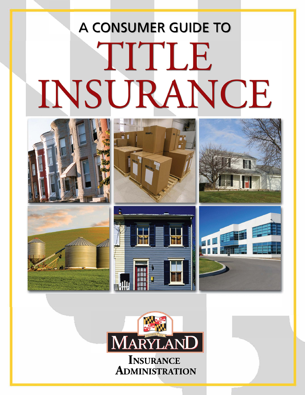## A CONSUMER GUIDE TO TITLE INSURANCE











**INSURANCE ADMINISTRATION**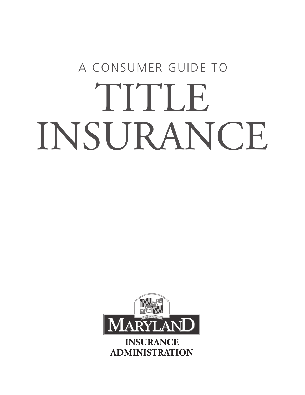# A CONSUMER GUIDE TO TITLE INSURANCE

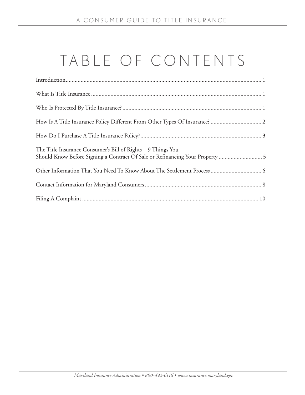## TABLE OF CONTENTS

| The Title Insurance Consumer's Bill of Rights - 9 Things You<br>Should Know Before Signing a Contract Of Sale or Refinancing Your Property  5 |
|-----------------------------------------------------------------------------------------------------------------------------------------------|
|                                                                                                                                               |
|                                                                                                                                               |
|                                                                                                                                               |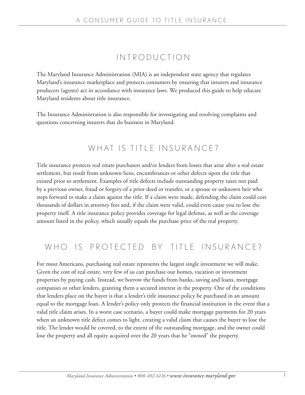## IN TRODUCTION

The Maryland Insurance Administration (MIA) is an independent state agency that regulates Maryland's insurance marketplace and protects consumers by ensuring that insurers and insurance producers (agents) act in accordance with insurance laws. We produced this guide to help educate Maryland residents about title insurance.

The Insurance Administration is also responsible for investigating and resolving complaints and questions concerning insurers that do business in Maryland.

### WHAT IS TITLE INSURANCE?

Title insurance protects real estate purchasers and/or lenders from losses that arise after a real estate settlement, but result from unknown liens, encumbrances or other defects upon the title that existed prior to settlement. Examples of title defects include outstanding property taxes not paid by a previous owner, fraud or forgery of a prior deed or transfer, or a spouse or unknown heir who steps forward to make a claim against the title. If a claim were made, defending the claim could cost thousands of dollars in attorney fees and, if the claim were valid, could even cause you to lose the property itself. A title insurance policy provides coverage for legal defense, as well as the coverage amount listed in the policy, which usually equals the purchase price of the real property.

### WHO IS PROTECTED BY TITLE INSURANCE?

For most Americans, purchasing real estate represents the largest single investment we will make. Given the cost of real estate, very few of us can purchase our homes, vacation or investment properties by paying cash. Instead, we borrow the funds from banks, saving and loans, mortgage companies or other lenders, granting them a secured interest in the property. One of the conditions that lenders place on the buyer is that a lender's title insurance policy be purchased in an amount equal to the mortgage loan. A lender's policy only protects the financial institution in the event that a valid title claim arises. In a worst case scenario, a buyer could make mortgage payments for 20 years when an unknown title defect comes to light, creating a valid claim that causes the buyer to lose the title. The lender would be covered, to the extent of the outstanding mortgage, and the owner could lose the property and all equity acquired over the 20 years that he "owned" the property.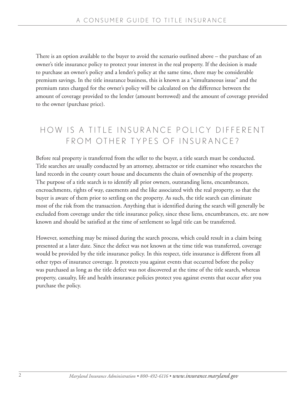There is an option available to the buyer to avoid the scenario outlined above – the purchase of an owner's title insurance policy to protect your interest in the real property. If the decision is made to purchase an owner's policy and a lender's policy at the same time, there may be considerable premium savings. In the title insurance business, this is known as a "simultaneous issue" and the premium rates charged for the owner's policy will be calculated on the difference between the amount of coverage provided to the lender (amount borrowed) and the amount of coverage provided to the owner (purchase price).

## HOW IS A TITLE INSURANCE POLICY DIFFERENT FROM OTHER TYPES OF INSURANCE?

Before real property is transferred from the seller to the buyer, a title search must be conducted. Title searches are usually conducted by an attorney, abstractor or title examiner who researches the land records in the county court house and documents the chain of ownership of the property. The purpose of a title search is to identify all prior owners, outstanding liens, encumbrances, encroachments, rights of way, easements and the like associated with the real property, so that the buyer is aware of them prior to settling on the property. As such, the title search can eliminate most of the risk from the transaction. Anything that is identified during the search will generally be excluded from coverage under the title insurance policy, since these liens, encumbrances, etc. are now known and should be satisfied at the time of settlement so legal title can be transferred.

However, something may be missed during the search process, which could result in a claim being presented at a later date. Since the defect was not known at the time title was transferred, coverage would be provided by the title insurance policy. In this respect, title insurance is different from all other types of insurance coverage. It protects you against events that occurred before the policy was purchased as long as the title defect was not discovered at the time of the title search, whereas property, casualty, life and health insurance policies protect you against events that occur after you purchase the policy.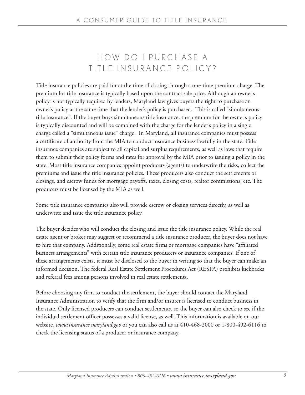## HOW DO I PURCHASE A TITLE INSURANCE POLICY?

Title insurance policies are paid for at the time of closing through a one-time premium charge. The premium for title insurance is typically based upon the contract sale price. Although an owner's policy is not typically required by lenders, Maryland law gives buyers the right to purchase an owner's policy at the same time that the lender's policy is purchased. This is called "simultaneous title insurance". If the buyer buys simultaneous title insurance, the premium for the owner's policy is typically discounted and will be combined with the charge for the lender's policy in a single charge called a "simultaneous issue" charge. In Maryland, all insurance companies must possess a certificate of authority from the MIA to conduct insurance business lawfully in the state. Title insurance companies are subject to all capital and surplus requirements, as well as laws that require them to submit their policy forms and rates for approval by the MIA prior to issuing a policy in the state. Most title insurance companies appoint producers (agents) to underwrite the risks, collect the premiums and issue the title insurance policies. These producers also conduct the settlements or closings, and escrow funds for mortgage payoffs, taxes, closing costs, realtor commissions, etc. The producers must be licensed by the MIA as well.

Some title insurance companies also will provide escrow or closing services directly, as well as underwrite and issue the title insurance policy.

The buyer decides who will conduct the closing and issue the title insurance policy. While the real estate agent or broker may suggest or recommend a title insurance producer, the buyer does not have to hire that company. Additionally, some real estate firms or mortgage companies have "affiliated business arrangements" with certain title insurance producers or insurance companies. If one of these arrangements exists, it must be disclosed to the buyer in writing so that the buyer can make an informed decision. The federal Real Estate Settlement Procedures Act (RESPA) prohibits kickbacks and referral fees among persons involved in real estate settlements.

Before choosing any firm to conduct the settlement, the buyer should contact the Maryland Insurance Administration to verify that the firm and/or insurer is licensed to conduct business in the state. Only licensed producers can conduct settlements, so the buyer can also check to see if the individual settlement officer possesses a valid license, as well. This information is available on our website, *www.insurance.maryland.gov* or you can also call us at 410-468-2000 or 1-800-492-6116 to check the licensing status of a producer or insurance company.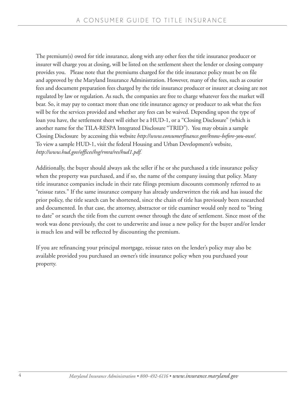The premium(s) owed for title insurance, along with any other fees the title insurance producer or insurer will charge you at closing, will be listed on the settlement sheet the lender or closing company provides you. Please note that the premiums charged for the title insurance policy must be on file and approved by the Maryland Insurance Administration. However, many of the fees, such as courier fees and document preparation fees charged by the title insurance producer or insurer at closing are not regulated by law or regulation. As such, the companies are free to charge whatever fees the market will bear. So, it may pay to contact more than one title insurance agency or producer to ask what the fees will be for the services provided and whether any fees can be waived. Depending upon the type of loan you have, the settlement sheet will either be a HUD-1, or a "Closing Disclosure" (which is another name for the TILA-RESPA Integrated Disclosure "TRID"). You may obtain a sample Closing Disclosure by accessing this website *http://www.consumerfinance.gov/know-before-you-owe/.* To view a sample HUD-1, visit the federal Housing and Urban Development's website, *http://www.hud.gov/offices/hsg/rmra/res/hud1.pdf.*

Additionally, the buyer should always ask the seller if he or she purchased a title insurance policy when the property was purchased, and if so, the name of the company issuing that policy. Many title insurance companies include in their rate filings premium discounts commonly referred to as "reissue rates." If the same insurance company has already underwritten the risk and has issued the prior policy, the title search can be shortened, since the chain of title has previously been researched and documented. In that case, the attorney, abstractor or title examiner would only need to "bring to date" or search the title from the current owner through the date of settlement. Since most of the work was done previously, the cost to underwrite and issue a new policy for the buyer and/or lender is much less and will be reflected by discounting the premium.

If you are refinancing your principal mortgage, reissue rates on the lender's policy may also be available provided you purchased an owner's title insurance policy when you purchased your property.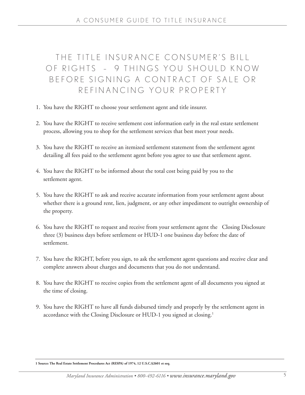## THE TITLE INSURANCE CONSUMER'S BILL OF RIGHTS - 9 THINGS YOU SHOULD KNOW BEFORE SIGNING A CONTRACT OF SALE OR R F F I N A N C I N G Y O U R P R O P F R T Y

- 1. You have the RIGHT to choose your settlement agent and title insurer.
- 2. You have the RIGHT to receive settlement cost information early in the real estate settlement process, allowing you to shop for the settlement services that best meet your needs.
- 3. You have the RIGHT to receive an itemized settlement statement from the settlement agent detailing all fees paid to the settlement agent before you agree to use that settlement agent.
- 4. You have the RIGHT to be informed about the total cost being paid by you to the settlement agent.
- 5. You have the RIGHT to ask and receive accurate information from your settlement agent about whether there is a ground rent, lien, judgment, or any other impediment to outright ownership of the property.
- 6. You have the RIGHT to request and receive from your settlement agent the Closing Disclosure three (3) business days before settlement or HUD-1 one business day before the date of settlement.
- 7. You have the RIGHT, before you sign, to ask the settlement agent questions and receive clear and complete answers about charges and documents that you do not understand.
- 8. You have the RIGHT to receive copies from the settlement agent of all documents you signed at the time of closing.
- 9. You have the RIGHT to have all funds disbursed timely and properly by the settlement agent in accordance with the Closing Disclosure or HUD-1 you signed at closing.<sup>1</sup>

**<sup>1</sup> Source: The Real Estate Settlement Procedures Act (RESPA) of 1974, 12 U.S.C.§2601 et seq.**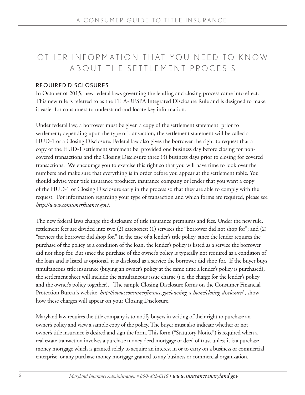## OTHER INFORMATION THAT YOU NEED TO KNOW ABOUT THE SETTLEMENT PROCES S

#### REQUIRED DISCLOSURES

In October of 2015, new federal laws governing the lending and closing process came into effect. This new rule is referred to as the TILA-RESPA Integrated Disclosure Rule and is designed to make it easier for consumers to understand and locate key information.

Under federal law, a borrower must be given a copy of the settlement statement prior to settlement; depending upon the type of transaction, the settlement statement will be called a HUD-1 or a Closing Disclosure. Federal law also gives the borrower the right to request that a copy of the HUD-1 settlement statement be provided one business day before closing for noncovered transactions and the Closing Disclosure three (3) business days prior to closing for covered transactions. We encourage you to exercise this right so that you will have time to look over the numbers and make sure that everything is in order before you appear at the settlement table. You should advise your title insurance producer, insurance company or lender that you want a copy of the HUD-1 or Closing Disclosure early in the process so that they are able to comply with the request. For information regarding your type of transaction and which forms are required, please see *http://www.consumerfinance.gov/.*

The new federal laws change the disclosure of title insurance premiums and fees. Under the new rule, settlement fees are divided into two (2) categories: (1) services the "borrower did not shop for"; and (2) "services the borrower did shop for." In the case of a lender's title policy, since the lender requires the purchase of the policy as a condition of the loan, the lender's policy is listed as a service the borrower did not shop for. But since the purchase of the owner's policy is typically not required as a condition of the loan and is listed as optional, it is disclosed as a service the borrower did shop for. If the buyer buys simultaneous title insurance (buying an owner's policy at the same time a lender's policy is purchased), the settlement sheet will include the simultaneous issue charge (i.e. the charge for the lender's policy and the owner's policy together). The sample Closing Disclosure forms on the Consumer Financial Protection Bureau's website, *http://www.consumerfinance.gov/owning-a-home/closing-disclosure/* , show how these charges will appear on your Closing Disclosure.

Maryland law requires the title company is to notify buyers in writing of their right to purchase an owner's policy and view a sample copy of the policy. The buyer must also indicate whether or not owner's title insurance is desired and sign the form. This form ("Statutory Notice") is required when a real estate transaction involves a purchase money deed mortgage or deed of trust unless it is a purchase money mortgage which is granted solely to acquire an interest in or to carry on a business or commercial enterprise, or any purchase money mortgage granted to any business or commercial organization.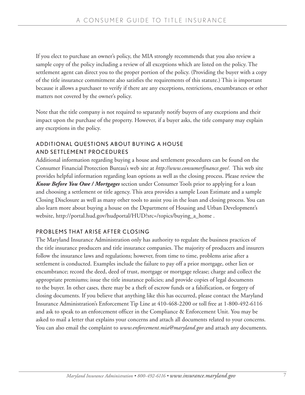If you elect to purchase an owner's policy, the MIA strongly recommends that you also review a sample copy of the policy including a review of all exceptions which are listed on the policy. The settlement agent can direct you to the proper portion of the policy. (Providing the buyer with a copy of the title insurance commitment also satisfies the requirements of this statute.) This is important because it allows a purchaser to verify if there are any exceptions, restrictions, encumbrances or other matters not covered by the owner's policy.

Note that the title company is not required to separately notify buyers of any exceptions and their impact upon the purchase of the property. However, if a buyer asks, the title company may explain any exceptions in the policy.

#### ADDITIONAL QUESTIONS ABOUT BUYING A HOUSE AND SETTLEMENT PROCEDURES

Additional information regarding buying a house and settlement procedures can be found on the Consumer Financial Protection Bureau's web site at *http://www.consumerfinance.gov/.* This web site provides helpful information regarding loan options as well as the closing process. Please review the *Know Before You Owe / Mortgages* section under Consumer Tools prior to applying for a loan and choosing a settlement or title agency. This area provides a sample Loan Estimate and a sample Closing Disclosure as well as many other tools to assist you in the loan and closing process. You can also learn more about buying a house on the Department of Housing and Urban Development's website, http://portal.hud.gov/hudportal/HUD?src=/topics/buying\_a\_home .

#### PROBLEMS THAT ARISE AFTER CLOSING

The Maryland Insurance Administration only has authority to regulate the business practices of the title insurance producers and title insurance companies. The majority of producers and insurers follow the insurance laws and regulations; however, from time to time, problems arise after a settlement is conducted. Examples include the failure to pay off a prior mortgage, other lien or encumbrance; record the deed, deed of trust, mortgage or mortgage release; charge and collect the appropriate premiums; issue the title insurance policies; and provide copies of legal documents to the buyer. In other cases, there may be a theft of escrow funds or a falsification, or forgery of closing documents. If you believe that anything like this has occurred, please contact the Maryland Insurance Administration's Enforcement Tip Line at 410-468-2200 or toll free at 1-800-492-6116 and ask to speak to an enforcement officer in the Compliance & Enforcement Unit. You may be asked to mail a letter that explains your concerns and attach all documents related to your concerns. You can also email the complaint to *www.enforcement.mia@maryland.gov* and attach any documents.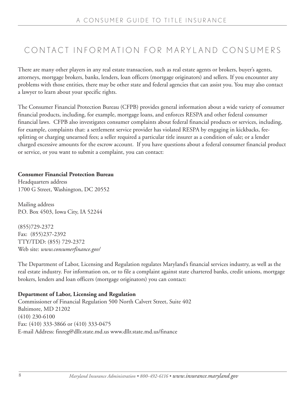## CONTACT INFORMATION FOR MARYLAND CONSUMERS

There are many other players in any real estate transaction, such as real estate agents or brokers, buyer's agents, attorneys, mortgage brokers, banks, lenders, loan officers (mortgage originators) and sellers. If you encounter any problems with those entities, there may be other state and federal agencies that can assist you. You may also contact a lawyer to learn about your specific rights.

The Consumer Financial Protection Bureau (CFPB) provides general information about a wide variety of consumer financial products, including, for example, mortgage loans, and enforces RESPA and other federal consumer financial laws. CFPB also investigates consumer complaints about federal financial products or services, including, for example, complaints that: a settlement service provider has violated RESPA by engaging in kickbacks, feesplitting or charging unearned fees; a seller required a particular title insurer as a condition of sale; or a lender charged excessive amounts for the escrow account. If you have questions about a federal consumer financial product or service, or you want to submit a complaint, you can contact:

#### **Consumer Financial Protection Bureau**

Headquarters address 1700 G Street, Washington, DC 20552

Mailing address P.O. Box 4503, Iowa City, IA 52244

(855)729-2372 Fax: (855)237-2392 TTY/TDD: (855) 729-2372 Web site: *www.consumerfinance.gov/*

The Department of Labor, Licensing and Regulation regulates Maryland's financial services industry, as well as the real estate industry. For information on, or to file a complaint against state chartered banks, credit unions, mortgage brokers, lenders and loan officers (mortgage originators) you can contact:

#### **Department of Labor, Licensing and Regulation**

Commissioner of Financial Regulation 500 North Calvert Street, Suite 402 Baltimore, MD 21202 (410) 230-6100 Fax: (410) 333-3866 or (410) 333-0475 E-mail Address: finreg@dllr.state.md.us www.dllr.state.md.us/finance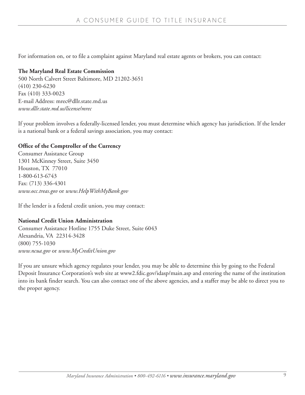For information on, or to file a complaint against Maryland real estate agents or brokers, you can contact:

#### **The Maryland Real Estate Commission**

500 North Calvert Street Baltimore, MD 21202-3651 (410) 230-6230 Fax (410) 333-0023 E-mail Address: mrec@dllr.state.md.us *www.dllr.state.md.us/license/mrec*

If your problem involves a federally-licensed lender, you must determine which agency has jurisdiction. If the lender is a national bank or a federal savings association, you may contact:

#### **Office of the Comptroller of the Currency**

Consumer Assistance Group 1301 McKinney Street, Suite 3450 Houston, TX 77010 1-800-613-6743 Fax: (713) 336-4301 *www.occ.treas.gov* or *www.HelpWithMyBank.gov*

If the lender is a federal credit union, you may contact:

#### **National Credit Union Administration**

Consumer Assistance Hotline 1755 Duke Street, Suite 6043 Alexandria, VA 22314-3428 (800) 755-1030 *www.ncua.gov* or *www.MyCreditUnion.gov*

If you are unsure which agency regulates your lender, you may be able to determine this by going to the Federal Deposit Insurance Corporation's web site at www2.fdic.gov/idasp/main.asp and entering the name of the institution into its bank finder search. You can also contact one of the above agencies, and a staffer may be able to direct you to the proper agency.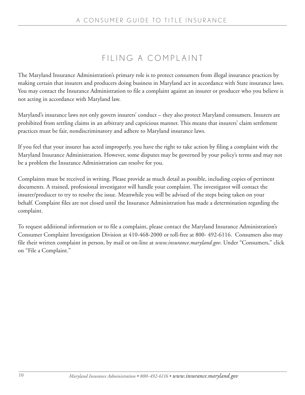## FILING A COMPLAINT

The Maryland Insurance Administration's primary role is to protect consumers from illegal insurance practices by making certain that insurers and producers doing business in Maryland act in accordance with State insurance laws. You may contact the Insurance Administration to file a complaint against an insurer or producer who you believe is not acting in accordance with Maryland law.

Maryland's insurance laws not only govern insurers' conduct – they also protect Maryland consumers. Insurers are prohibited from settling claims in an arbitrary and capricious manner. This means that insurers' claim settlement practices must be fair, nondiscriminatory and adhere to Maryland insurance laws.

If you feel that your insurer has acted improperly, you have the right to take action by filing a complaint with the Maryland Insurance Administration. However, some disputes may be governed by your policy's terms and may not be a problem the Insurance Administration can resolve for you.

Complaints must be received in writing. Please provide as much detail as possible, including copies of pertinent documents. A trained, professional investigator will handle your complaint. The investigator will contact the insurer/producer to try to resolve the issue. Meanwhile you will be advised of the steps being taken on your behalf. Complaint files are not closed until the Insurance Administration has made a determination regarding the complaint.

To request additional information or to file a complaint, please contact the Maryland Insurance Administration's Consumer Complaint Investigation Division at 410-468-2000 or toll-free at 800- 492-6116. Consumers also may file their written complaint in person, by mail or on-line at *www.insurance.maryland.gov*. Under "Consumers," click on "File a Complaint."